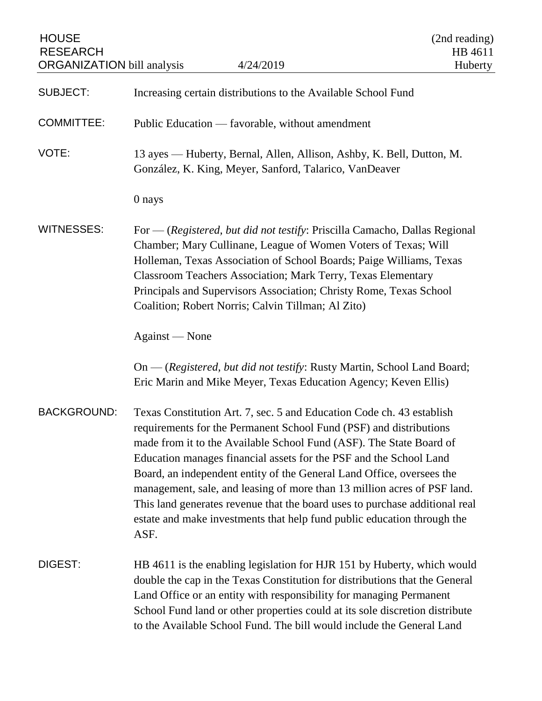| <b>HOUSE</b><br><b>RESEARCH</b><br><b>ORGANIZATION</b> bill analysis | 4/24/2019                                                                                                                                                                                                                                                                                                                                                                                                                                                                                                                                                                                                       | (2nd reading)<br>HB 4611<br>Huberty |
|----------------------------------------------------------------------|-----------------------------------------------------------------------------------------------------------------------------------------------------------------------------------------------------------------------------------------------------------------------------------------------------------------------------------------------------------------------------------------------------------------------------------------------------------------------------------------------------------------------------------------------------------------------------------------------------------------|-------------------------------------|
| <b>SUBJECT:</b>                                                      | Increasing certain distributions to the Available School Fund                                                                                                                                                                                                                                                                                                                                                                                                                                                                                                                                                   |                                     |
| <b>COMMITTEE:</b>                                                    | Public Education — favorable, without amendment                                                                                                                                                                                                                                                                                                                                                                                                                                                                                                                                                                 |                                     |
| VOTE:                                                                | 13 ayes — Huberty, Bernal, Allen, Allison, Ashby, K. Bell, Dutton, M.<br>González, K. King, Meyer, Sanford, Talarico, VanDeaver                                                                                                                                                                                                                                                                                                                                                                                                                                                                                 |                                     |
|                                                                      | 0 nays                                                                                                                                                                                                                                                                                                                                                                                                                                                                                                                                                                                                          |                                     |
| <b>WITNESSES:</b>                                                    | For — (Registered, but did not testify: Priscilla Camacho, Dallas Regional<br>Chamber; Mary Cullinane, League of Women Voters of Texas; Will<br>Holleman, Texas Association of School Boards; Paige Williams, Texas<br><b>Classroom Teachers Association; Mark Terry, Texas Elementary</b><br>Principals and Supervisors Association; Christy Rome, Texas School<br>Coalition; Robert Norris; Calvin Tillman; Al Zito)                                                                                                                                                                                          |                                     |
|                                                                      | Against — None                                                                                                                                                                                                                                                                                                                                                                                                                                                                                                                                                                                                  |                                     |
|                                                                      | On — (Registered, but did not testify: Rusty Martin, School Land Board;<br>Eric Marin and Mike Meyer, Texas Education Agency; Keven Ellis)                                                                                                                                                                                                                                                                                                                                                                                                                                                                      |                                     |
| <b>BACKGROUND:</b>                                                   | Texas Constitution Art. 7, sec. 5 and Education Code ch. 43 establish<br>requirements for the Permanent School Fund (PSF) and distributions<br>made from it to the Available School Fund (ASF). The State Board of<br>Education manages financial assets for the PSF and the School Land<br>Board, an independent entity of the General Land Office, oversees the<br>management, sale, and leasing of more than 13 million acres of PSF land.<br>This land generates revenue that the board uses to purchase additional real<br>estate and make investments that help fund public education through the<br>ASF. |                                     |
| DIGEST:                                                              | HB 4611 is the enabling legislation for HJR 151 by Huberty, which would<br>double the cap in the Texas Constitution for distributions that the General<br>Land Office or an entity with responsibility for managing Permanent<br>School Fund land or other properties could at its sole discretion distribute<br>to the Available School Fund. The bill would include the General Land                                                                                                                                                                                                                          |                                     |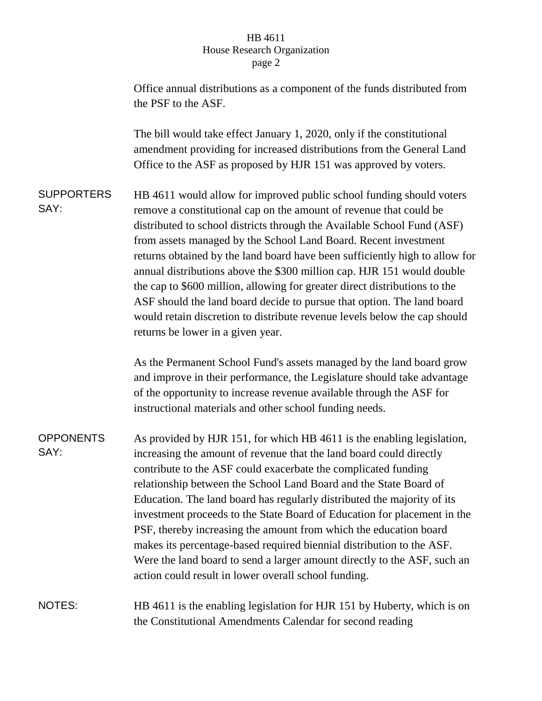## HB 4611 House Research Organization page 2

|                           | Office annual distributions as a component of the funds distributed from<br>the PSF to the ASF.                                                                                                                                                                                                                                                                                                                                                                                                                                                                                                                                                                                                                               |
|---------------------------|-------------------------------------------------------------------------------------------------------------------------------------------------------------------------------------------------------------------------------------------------------------------------------------------------------------------------------------------------------------------------------------------------------------------------------------------------------------------------------------------------------------------------------------------------------------------------------------------------------------------------------------------------------------------------------------------------------------------------------|
|                           | The bill would take effect January 1, 2020, only if the constitutional<br>amendment providing for increased distributions from the General Land<br>Office to the ASF as proposed by HJR 151 was approved by voters.                                                                                                                                                                                                                                                                                                                                                                                                                                                                                                           |
| <b>SUPPORTERS</b><br>SAY: | HB 4611 would allow for improved public school funding should voters<br>remove a constitutional cap on the amount of revenue that could be<br>distributed to school districts through the Available School Fund (ASF)<br>from assets managed by the School Land Board. Recent investment<br>returns obtained by the land board have been sufficiently high to allow for<br>annual distributions above the \$300 million cap. HJR 151 would double<br>the cap to \$600 million, allowing for greater direct distributions to the<br>ASF should the land board decide to pursue that option. The land board<br>would retain discretion to distribute revenue levels below the cap should<br>returns be lower in a given year.   |
|                           | As the Permanent School Fund's assets managed by the land board grow<br>and improve in their performance, the Legislature should take advantage<br>of the opportunity to increase revenue available through the ASF for<br>instructional materials and other school funding needs.                                                                                                                                                                                                                                                                                                                                                                                                                                            |
| <b>OPPONENTS</b><br>SAY:  | As provided by HJR 151, for which HB 4611 is the enabling legislation,<br>increasing the amount of revenue that the land board could directly<br>contribute to the ASF could exacerbate the complicated funding<br>relationship between the School Land Board and the State Board of<br>Education. The land board has regularly distributed the majority of its<br>investment proceeds to the State Board of Education for placement in the<br>PSF, thereby increasing the amount from which the education board<br>makes its percentage-based required biennial distribution to the ASF.<br>Were the land board to send a larger amount directly to the ASF, such an<br>action could result in lower overall school funding. |
| NOTES:                    | HB 4611 is the enabling legislation for HJR 151 by Huberty, which is on<br>the Constitutional Amendments Calendar for second reading                                                                                                                                                                                                                                                                                                                                                                                                                                                                                                                                                                                          |